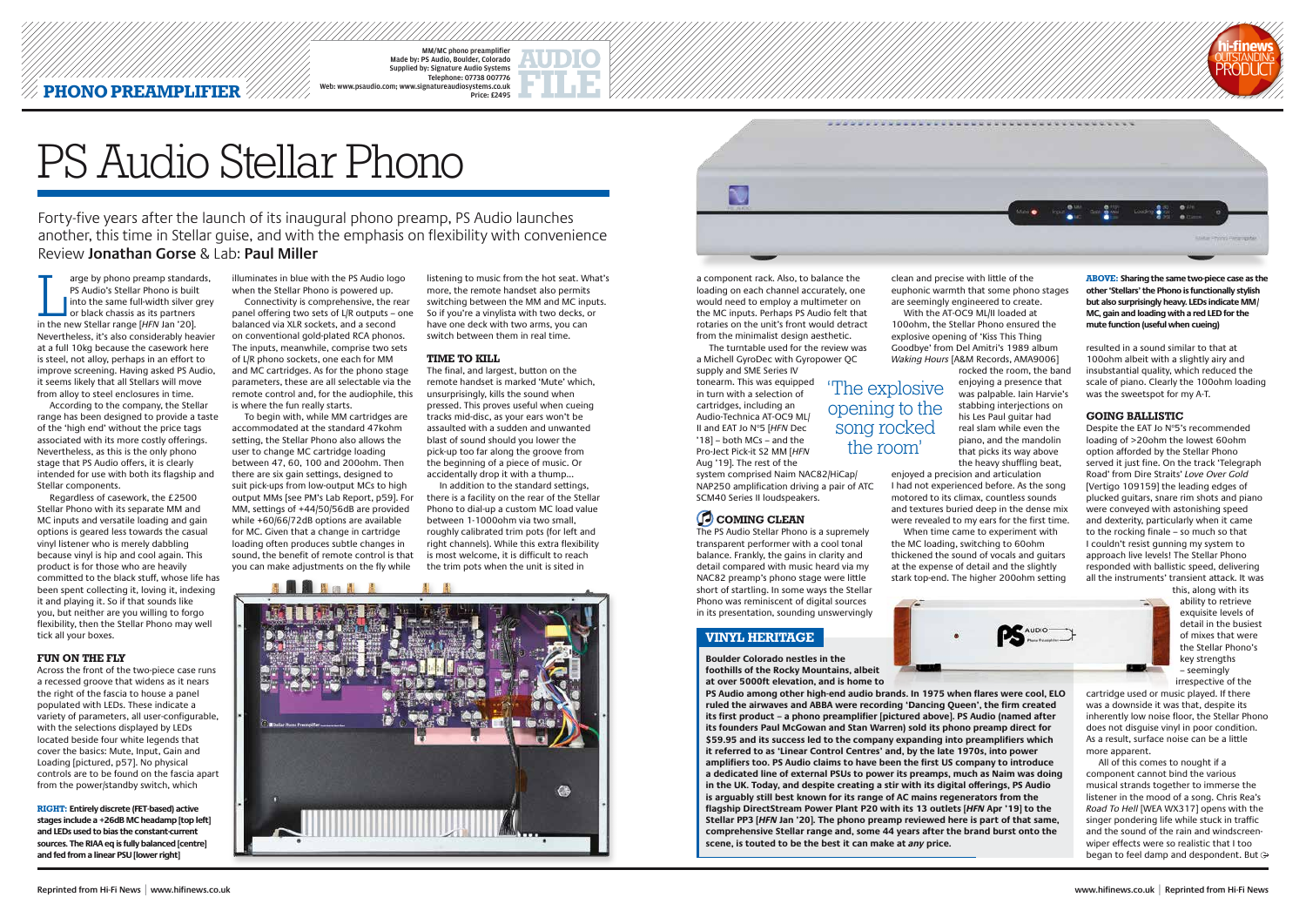## **PHONO PREAMPLIFIER**

MM/MC phono preamplifie Made by: PS Audio, Boulder, Colorado Supplied by: Signature Audio Systems Telephone: 07738 007776 Web: www.psaudio.com; www.signatureaudiosystems.co.uk Price: £2495

arge by phono preamp standar<br>
PS Audio's Stellar Phono is built<br>
into the same full-width silver got<br>
or black chassis as its partners<br>
in the new Stellar range [*HFN* Jan '20]. arge by phono preamp standards, PS Audio's Stellar Phono is built Into the same full-width silver grey or black chassis as its partners Nevertheless, it's also considerably heavier at a full 10kg because the casework here is steel, not alloy, perhaps in an effort to improve screening. Having asked PS Audio, it seems likely that all Stellars will move from alloy to steel enclosures in time.

According to the company, the Stellar range has been designed to provide a taste of the 'high end' without the price tags associated with its more costly offerings. Nevertheless, as this is the only phono stage that PS Audio offers, it is clearly intended for use with both its flagship and Stellar components.

Regardless of casework, the £2500 Stellar Phono with its separate MM and MC inputs and versatile loading and gain options is geared less towards the casual vinyl listener who is merely dabbling because vinyl is hip and cool again. This product is for those who are heavily committed to the black stuff, whose life has been spent collecting it, loving it, indexing it and playing it. So if that sounds like you, but neither are you willing to forgo flexibility, then the Stellar Phono may well tick all your boxes.

#### **FUN ON THE FLY**

Across the front of the two-piece case runs a recessed groove that widens as it nears the right of the fascia to house a panel populated with LEDs. These indicate a variety of parameters, all user-configurable, with the selections displayed by LEDs located beside four white legends that cover the basics: Mute, Input, Gain and Loading [pictured, p57]. No physical controls are to be found on the fascia apart from the power/standby switch, which

illuminates in blue with the PS Audio logo when the Stellar Phono is powered up.

Connectivity is comprehensive, the rear panel offering two sets of L/R outputs – one balanced via XLR sockets, and a second on conventional gold-plated RCA phonos. The inputs, meanwhile, comprise two sets of L/R phono sockets, one each for MM and MC cartridges. As for the phono stage parameters, these are all selectable via the remote control and, for the audiophile, this is where the fun really starts.

To begin with, while MM cartridges are accommodated at the standard 47kohm setting, the Stellar Phono also allows the user to change MC cartridge loading between 47, 60, 100 and 200ohm. Then there are six gain settings, designed to suit pick-ups from low-output MCs to high output MMs [see PM's Lab Report, p59]. For MM, settings of +44/50/56dB are provided while +60/66/72dB options are available for MC. Given that a change in cartridge loading often produces subtle changes in sound, the benefit of remote control is that you can make adjustments on the fly while

a component rack. Also, to balance the loading on each channel accurately, one would need to employ a multimeter on the MC inputs. Perhaps PS Audio felt that rotaries on the unit's front would detract from the minimalist design aesthetic.

The turntable used for the review was a Michell GyroDec with Gyropower QC supply and SME Series IV

tonearm. This was equipped in turn with a selection of cartridges, including an Audio-Technica AT-OC9 ML/ II and EAT Jo N°5 [HFN Dec '18] – both MCs – and the Pro-Ject Pick-it S2 MM [*HFN* Aug '19]. The rest of the

Despite the EAT Jo Nº5's recommended loading of >20ohm the lowest 60ohm option afforded by the Stellar Phono served it just fine. On the track 'Telegraph Road' from Dire Straits' *Love Over Gold* [Vertigo 109159] the leading edges of plucked guitars, snare rim shots and piano were conveyed with astonishing speed and dexterity, particularly when it came to the rocking finale – so much so that I couldn't resist gunning my system to approach live levels! The Stellar Phono responded with ballistic speed, delivering all the instruments' transient attack. It was

system comprised Naim NAC82/HiCap/ NAP250 amplification driving a pair of ATC SCM40 Series II loudspeakers.

## **COMING CLEAN**

All of this comes to nought if a component cannot bind the various musical strands together to immerse the listener in the mood of a song. Chris Rea's *Road To Hell* [WEA WX317] opens with the singer pondering life while stuck in traffic and the sound of the rain and windscreenwiper effects were so realistic that I too began to feel damp and despondent. But  $\ominus$ 

The PS Audio Stellar Phono is a supremely transparent performer with a cool tonal balance. Frankly, the gains in clarity and detail compared with music heard via my NAC82 preamp's phono stage were little short of startling. In some ways the Stellar Phono was reminiscent of digital sources in its presentation, sounding unswervingly

rocked the room, the band enjoying a presence that was palpable. Iain Harvie's stabbing interjections on his Les Paul guitar had real slam while even the piano, and the mandolin that picks its way above the heavy shuffling beat,

With the AT-OC9 ML/II loaded at When time came to experiment with

listening to music from the hot seat. What's more, the remote handset also permits switching between the MM and MC inputs. So if you're a vinylista with two decks, or have one deck with two arms, you can switch between them in real time.

### **TIME TO KILL**

The final, and largest, button on the remote handset is marked 'Mute' which, unsurprisingly, kills the sound when pressed. This proves useful when cueing tracks mid-disc, as your ears won't be assaulted with a sudden and unwanted blast of sound should you lower the pick-up too far along the groove from the beginning of a piece of music. Or accidentally drop it with a thump...

In addition to the standard settings, there is a facility on the rear of the Stellar Phono to dial-up a custom MC load value between 1-1000ohm via two small, roughly calibrated trim pots (for left and right channels). While this extra flexibility is most welcome, it is difficult to reach the trim pots when the unit is sited in





clean and precise with little of the euphonic warmth that some phono stages are seemingly engineered to create. 100ohm, the Stellar Phono ensured the explosive opening of 'Kiss This Thing Goodbye' from Del Amitri's 1989 album *Waking Hours* [A&M Records, AMA9006] enjoyed a precision and articulation I had not experienced before. As the song motored to its climax, countless sounds and textures buried deep in the dense mix were revealed to my ears for the first time. the MC loading, switching to 60ohm thickened the sound of vocals and guitars at the expense of detail and the slightly stark top-end. The higher 200ohm setting 'The explosive opening to the song rocked the room'



**ABOVE: Sharing the same two-piece case as the other 'Stellars' the Phono is functionally stylish but also surprisingly heavy. LEDs indicate MM/ MC, gain and loading with a red LED for the mute function (useful when cueing)**

**RIGHT: Entirely discrete (FET-based) active stages include a +26dB MC headamp [top left] and LEDs used to bias the constant-current sources. The RIAA eq is fully balanced [centre] and fed from a linear PSU [lower right]**

resulted in a sound similar to that at 100ohm albeit with a slightly airy and insubstantial quality, which reduced the scale of piano. Clearly the 100ohm loading was the sweetspot for my A-T.

## **GOING BALLISTIC**

this, along with its ability to retrieve exquisite levels of detail in the busiest of mixes that were the Stellar Phono's key strengths – seemingly irrespective of the

cartridge used or music played. If there was a downside it was that, despite its inherently low noise floor, the Stellar Phono does not disguise vinyl in poor condition. As a result, surface noise can be a little more apparent.

# PS Audio Stellar Phono

**Boulder Colorado nestles in the foothills of the Rocky Mountains, albeit at over 5000ft elevation, and is home to** 

**PS Audio among other high-end audio brands. In 1975 when flares were cool, ELO ruled the airwaves and ABBA were recording 'Dancing Queen', the firm created its first product – a phono preamplifier [pictured above]. PS Audio (named after its founders Paul McGowan and Stan Warren) sold its phono preamp direct for \$59.95 and its success led to the company expanding into preamplifiers which it referred to as 'Linear Control Centres' and, by the late 1970s, into power amplifiers too. PS Audio claims to have been the first US company to introduce a dedicated line of external PSUs to power its preamps, much as Naim was doing in the UK. Today, and despite creating a stir with its digital offerings, PS Audio is arguably still best known for its range of AC mains regenerators from the flagship DirectStream Power Plant P20 with its 13 outlets [***HFN* **Apr '19] to the Stellar PP3 [***HFN* **Jan '20]. The phono preamp reviewed here is part of that same, comprehensive Stellar range and, some 44 years after the brand burst onto the scene, is touted to be the best it can make at** *any* **price.**

Forty-five years after the launch of its inaugural phono preamp, PS Audio launches another, this time in Stellar guise, and with the emphasis on flexibility with convenience Review **Jonathan Gorse** & Lab: **Paul Miller**

## **VINYL HERITAGE**